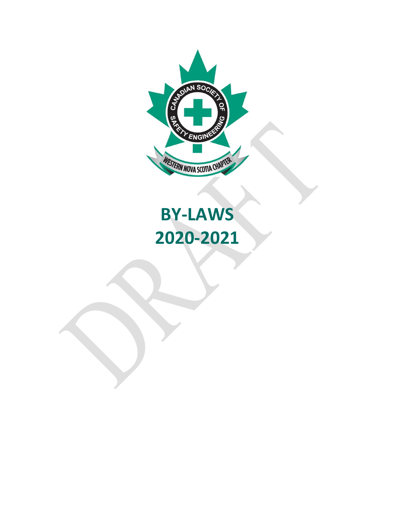

# **BY-LAWS 2020-2021**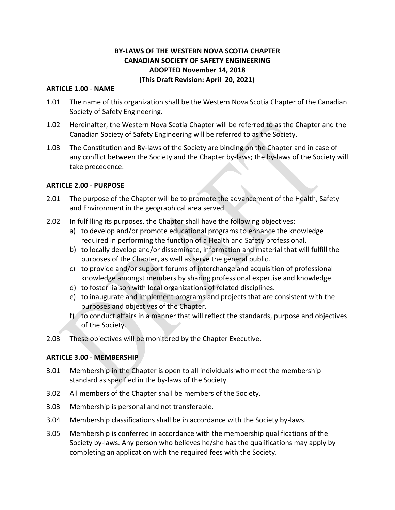### **BY**-**LAWS OF THE WESTERN NOVA SCOTIA CHAPTER CANADIAN SOCIETY OF SAFETY ENGINEERING ADOPTED November 14, 2018 (This Draft Revision: April 20, 2021)**

### **ARTICLE 1.00** - **NAME**

- 1.01 The name of this organization shall be the Western Nova Scotia Chapter of the Canadian Society of Safety Engineering.
- 1.02 Hereinafter, the Western Nova Scotia Chapter will be referred to as the Chapter and the Canadian Society of Safety Engineering will be referred to as the Society.
- 1.03 The Constitution and By-laws of the Society are binding on the Chapter and in case of any conflict between the Society and the Chapter by-laws; the by-laws of the Society will take precedence.

### **ARTICLE 2.00** - **PURPOSE**

- 2.01 The purpose of the Chapter will be to promote the advancement of the Health, Safety and Environment in the geographical area served.
- 2.02 In fulfilling its purposes, the Chapter shall have the following objectives:
	- a) to develop and/or promote educational programs to enhance the knowledge required in performing the function of a Health and Safety professional.
	- b) to locally develop and/or disseminate, information and material that will fulfill the purposes of the Chapter, as well as serve the general public.
	- c) to provide and/or support forums of interchange and acquisition of professional knowledge amongst members by sharing professional expertise and knowledge.
	- d) to foster liaison with local organizations of related disciplines.
	- e) to inaugurate and implement programs and projects that are consistent with the purposes and objectives of the Chapter.
	- f) to conduct affairs in a manner that will reflect the standards, purpose and objectives of the Society.
- 2.03 These objectives will be monitored by the Chapter Executive.

### **ARTICLE 3.00** - **MEMBERSHIP**

- 3.01 Membership in the Chapter is open to all individuals who meet the membership standard as specified in the by-laws of the Society.
- 3.02 All members of the Chapter shall be members of the Society.
- 3.03 Membership is personal and not transferable.
- 3.04 Membership classifications shall be in accordance with the Society by-laws.
- 3.05 Membership is conferred in accordance with the membership qualifications of the Society by-laws. Any person who believes he/she has the qualifications may apply by completing an application with the required fees with the Society.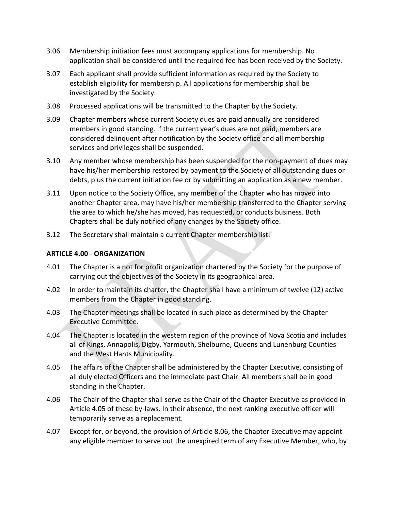- 3.06 Membership initiation fees must accompany applications for membership. No application shall be considered until the required fee has been received by the Society.
- 3.07 Each applicant shall provide sufficient information as required by the Society to establish eligibility for membership. All applications for membership shall be investigated by the Society.
- 3.08 Processed applications will be transmitted to the Chapter by the Society.
- 3.09 Chapter members whose current Society dues are paid annually are considered members in good standing. If the current year's dues are not paid, members are considered delinquent after notification by the Society office and all membership services and privileges shall be suspended.
- 3.10 Any member whose membership has been suspended for the non-payment of dues may have his/her membership restored by payment to the Society of all outstanding dues or debts, plus the current initiation fee or by submitting an application as a new member.
- 3.11 Upon notice to the Society Office, any member of the Chapter who has moved into another Chapter area, may have his/her membership transferred to the Chapter serving the area to which he/she has moved, has requested, or conducts business. Both Chapters shall be duly notified of any changes by the Society office.
- 3.12 The Secretary shall maintain a current Chapter membership list.

#### **ARTICLE 4.00** - **ORGANIZATION**

- 4.01 The Chapter is a not for profit organization chartered by the Society for the purpose of carrying out the objectives of the Society in its geographical area.
- 4.02 In order to maintain its charter, the Chapter shall have a minimum of twelve (12) active members from the Chapter in good standing.
- 4.03 The Chapter meetings shall be located in such place as determined by the Chapter Executive Committee.
- 4.04 The Chapter is located in the western region of the province of Nova Scotia and includes all of Kings, Annapolis, Digby, Yarmouth, Shelburne, Queens and Lunenburg Counties and the West Hants Municipality.
- 4.05 The affairs of the Chapter shall be administered by the Chapter Executive, consisting of all duly elected Officers and the immediate past Chair. All members shall be in good standing in the Chapter.
- 4.06 The Chair of the Chapter shall serve as the Chair of the Chapter Executive as provided in Article 4.05 of these by-laws. In their absence, the next ranking executive officer will temporarily serve as a replacement.
- 4.07 Except for, or beyond, the provision of Article 8.06, the Chapter Executive may appoint any eligible member to serve out the unexpired term of any Executive Member, who, by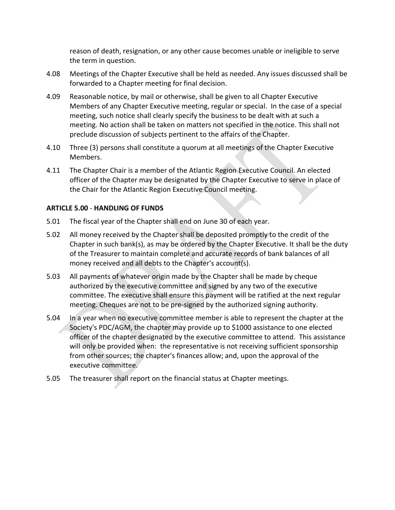reason of death, resignation, or any other cause becomes unable or ineligible to serve the term in question.

- 4.08 Meetings of the Chapter Executive shall be held as needed. Any issues discussed shall be forwarded to a Chapter meeting for final decision.
- 4.09 Reasonable notice, by mail or otherwise, shall be given to all Chapter Executive Members of any Chapter Executive meeting, regular or special. In the case of a special meeting, such notice shall clearly specify the business to be dealt with at such a meeting. No action shall be taken on matters not specified in the notice. This shall not preclude discussion of subjects pertinent to the affairs of the Chapter.
- 4.10 Three (3) persons shall constitute a quorum at all meetings of the Chapter Executive Members.
- 4.11 The Chapter Chair is a member of the Atlantic Region Executive Council. An elected officer of the Chapter may be designated by the Chapter Executive to serve in place of the Chair for the Atlantic Region Executive Council meeting.

### **ARTICLE 5.00** - **HANDLING OF FUNDS**

- 5.01 The fiscal year of the Chapter shall end on June 30 of each year.
- 5.02 All money received by the Chapter shall be deposited promptly to the credit of the Chapter in such bank(s), as may be ordered by the Chapter Executive. It shall be the duty of the Treasurer to maintain complete and accurate records of bank balances of all money received and all debts to the Chapter's account(s).
- 5.03 All payments of whatever origin made by the Chapter shall be made by cheque authorized by the executive committee and signed by any two of the executive committee. The executive shall ensure this payment will be ratified at the next regular meeting. Cheques are not to be pre-signed by the authorized signing authority.
- 5.04 In a year when no executive committee member is able to represent the chapter at the Society's PDC/AGM, the chapter may provide up to \$1000 assistance to one elected officer of the chapter designated by the executive committee to attend. This assistance will only be provided when: the representative is not receiving sufficient sponsorship from other sources; the chapter's finances allow; and, upon the approval of the executive committee.
- 5.05 The treasurer shall report on the financial status at Chapter meetings.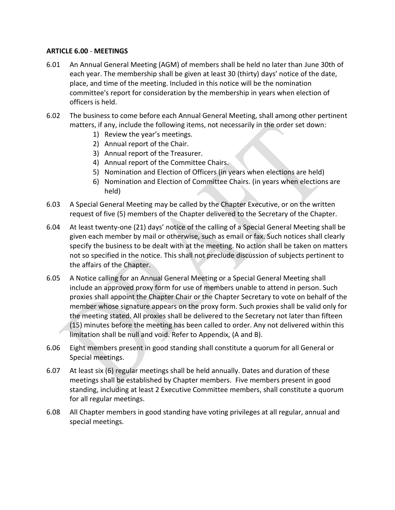### **ARTICLE 6.00** - **MEETINGS**

- 6.01 An Annual General Meeting (AGM) of members shall be held no later than June 30th of each year. The membership shall be given at least 30 (thirty) days' notice of the date, place, and time of the meeting. Included in this notice will be the nomination committee's report for consideration by the membership in years when election of officers is held.
- 6.02 The business to come before each Annual General Meeting, shall among other pertinent matters, if any, include the following items, not necessarily in the order set down:
	- 1) Review the year's meetings.
	- 2) Annual report of the Chair.
	- 3) Annual report of the Treasurer.
	- 4) Annual report of the Committee Chairs.
	- 5) Nomination and Election of Officers (in years when elections are held)
	- 6) Nomination and Election of Committee Chairs. (in years when elections are held)
- 6.03 A Special General Meeting may be called by the Chapter Executive, or on the written request of five (5) members of the Chapter delivered to the Secretary of the Chapter.
- 6.04 At least twenty-one (21) days' notice of the calling of a Special General Meeting shall be given each member by mail or otherwise, such as email or fax. Such notices shall clearly specify the business to be dealt with at the meeting. No action shall be taken on matters not so specified in the notice. This shall not preclude discussion of subjects pertinent to the affairs of the Chapter.
- 6.05 A Notice calling for an Annual General Meeting or a Special General Meeting shall include an approved proxy form for use of members unable to attend in person. Such proxies shall appoint the Chapter Chair or the Chapter Secretary to vote on behalf of the member whose signature appears on the proxy form. Such proxies shall be valid only for the meeting stated. All proxies shall be delivered to the Secretary not later than fifteen (15) minutes before the meeting has been called to order. Any not delivered within this limitation shall be null and void. Refer to Appendix, (A and B).
- 6.06 Eight members present in good standing shall constitute a quorum for all General or Special meetings.
- 6.07 At least six (6) regular meetings shall be held annually. Dates and duration of these meetings shall be established by Chapter members. Five members present in good standing, including at least 2 Executive Committee members, shall constitute a quorum for all regular meetings.
- 6.08 All Chapter members in good standing have voting privileges at all regular, annual and special meetings.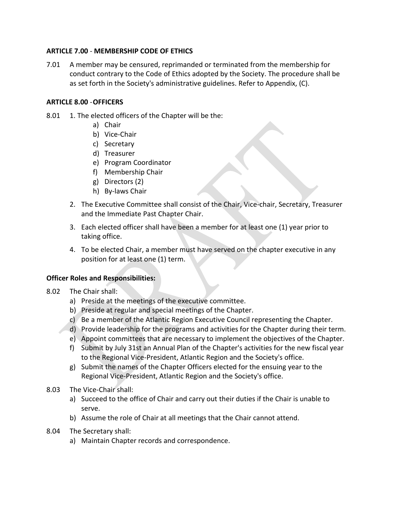### **ARTICLE 7.00** - **MEMBERSHIP CODE OF ETHICS**

7.01 A member may be censured, reprimanded or terminated from the membership for conduct contrary to the Code of Ethics adopted by the Society. The procedure shall be as set forth in the Society's administrative guidelines. Refer to Appendix, (C).

### **ARTICLE 8.00** -**OFFICERS**

- 8.01 1. The elected officers of the Chapter will be the:
	- a) Chair
	- b) Vice-Chair
	- c) Secretary
	- d) Treasurer
	- e) Program Coordinator
	- f) Membership Chair
	- g) Directors (2)
	- h) By-laws Chair
	- 2. The Executive Committee shall consist of the Chair, Vice-chair, Secretary, Treasurer and the Immediate Past Chapter Chair.
	- 3. Each elected officer shall have been a member for at least one (1) year prior to taking office.
	- 4. To be elected Chair, a member must have served on the chapter executive in any position for at least one (1) term.

### **Officer Roles and Responsibilities:**

- 8.02 The Chair shall:
	- a) Preside at the meetings of the executive committee.
	- b) Preside at regular and special meetings of the Chapter.
	- c) Be a member of the Atlantic Region Executive Council representing the Chapter.
	- d) Provide leadership for the programs and activities for the Chapter during their term.
	- e) Appoint committees that are necessary to implement the objectives of the Chapter.
	- f) Submit by July 31st an Annual Plan of the Chapter's activities for the new fiscal year to the Regional Vice-President, Atlantic Region and the Society's office.
	- g) Submit the names of the Chapter Officers elected for the ensuing year to the Regional Vice-President, Atlantic Region and the Society's office.
- 8.03 The Vice-Chair shall:
	- a) Succeed to the office of Chair and carry out their duties if the Chair is unable to serve.
	- b) Assume the role of Chair at all meetings that the Chair cannot attend.
- 8.04 The Secretary shall:
	- a) Maintain Chapter records and correspondence.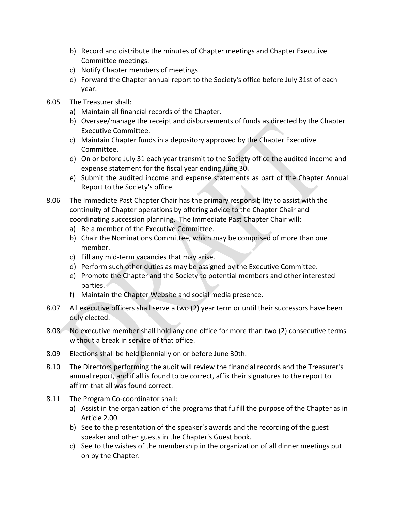- b) Record and distribute the minutes of Chapter meetings and Chapter Executive Committee meetings.
- c) Notify Chapter members of meetings.
- d) Forward the Chapter annual report to the Society's office before July 31st of each year.
- 8.05 The Treasurer shall:
	- a) Maintain all financial records of the Chapter.
	- b) Oversee/manage the receipt and disbursements of funds as directed by the Chapter Executive Committee.
	- c) Maintain Chapter funds in a depository approved by the Chapter Executive Committee.
	- d) On or before July 31 each year transmit to the Society office the audited income and expense statement for the fiscal year ending June 30.
	- e) Submit the audited income and expense statements as part of the Chapter Annual Report to the Society's office.
- 8.06 The Immediate Past Chapter Chair has the primary responsibility to assist with the continuity of Chapter operations by offering advice to the Chapter Chair and coordinating succession planning. The Immediate Past Chapter Chair will:
	- a) Be a member of the Executive Committee.
	- b) Chair the Nominations Committee, which may be comprised of more than one member.
	- c) Fill any mid-term vacancies that may arise.
	- d) Perform such other duties as may be assigned by the Executive Committee.
	- e) Promote the Chapter and the Society to potential members and other interested parties.
	- f) Maintain the Chapter Website and social media presence.
- 8.07 All executive officers shall serve a two (2) year term or until their successors have been duly elected.
- 8.08 No executive member shall hold any one office for more than two (2) consecutive terms without a break in service of that office.
- 8.09 Elections shall be held biennially on or before June 30th.
- 8.10 The Directors performing the audit will review the financial records and the Treasurer's annual report, and if all is found to be correct, affix their signatures to the report to affirm that all was found correct.
- 8.11 The Program Co-coordinator shall:
	- a) Assist in the organization of the programs that fulfill the purpose of the Chapter as in Article 2.00.
	- b) See to the presentation of the speaker's awards and the recording of the guest speaker and other guests in the Chapter's Guest book.
	- c) See to the wishes of the membership in the organization of all dinner meetings put on by the Chapter.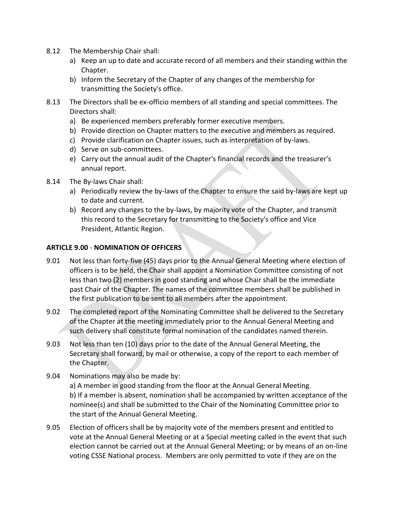- 8.12 The Membership Chair shall:
	- a) Keep an up to date and accurate record of all members and their standing within the Chapter.
	- b) Inform the Secretary of the Chapter of any changes of the membership for transmitting the Society's office.
- 8.13 The Directors shall be ex-officio members of all standing and special committees. The Directors shall:
	- a) Be experienced members preferably former executive members.
	- b) Provide direction on Chapter matters to the executive and members as required.
	- c) Provide clarification on Chapter issues, such as interpretation of by-laws.
	- d) Serve on sub-committees.
	- e) Carry out the annual audit of the Chapter's financial records and the treasurer's annual report.
- 8.14 The By-laws Chair shall:
	- a) Periodically review the by-laws of the Chapter to ensure the said by-laws are kept up to date and current.
	- b) Record any changes to the by-laws, by majority vote of the Chapter, and transmit this record to the Secretary for transmitting to the Society's office and Vice President, Atlantic Region.

### **ARTICLE 9.00** - **NOMINATION OF OFFICERS**

- 9.01 Not less than forty-five (45) days prior to the Annual General Meeting where election of officers is to be held, the Chair shall appoint a Nomination Committee consisting of not less than two (2) members in good standing and whose Chair shall be the immediate past Chair of the Chapter. The names of the committee members shall be published in the first publication to be sent to all members after the appointment.
- 9.02 The completed report of the Nominating Committee shall be delivered to the Secretary of the Chapter at the meeting immediately prior to the Annual General Meeting and such delivery shall constitute formal nomination of the candidates named therein.
- 9.03 Not less than ten (10) days prior to the date of the Annual General Meeting, the Secretary shall forward, by mail or otherwise, a copy of the report to each member of the Chapter.
- 9.04 Nominations may also be made by: a) A member in good standing from the floor at the Annual General Meeting. b) If a member is absent, nomination shall be accompanied by written acceptance of the nominee(s) and shall be submitted to the Chair of the Nominating Committee prior to the start of the Annual General Meeting.
- 9.05 Election of officers shall be by majority vote of the members present and entitled to vote at the Annual General Meeting or at a Special meeting called in the event that such election cannot be carried out at the Annual General Meeting; or by means of an on-line voting CSSE National process. Members are only permitted to vote if they are on the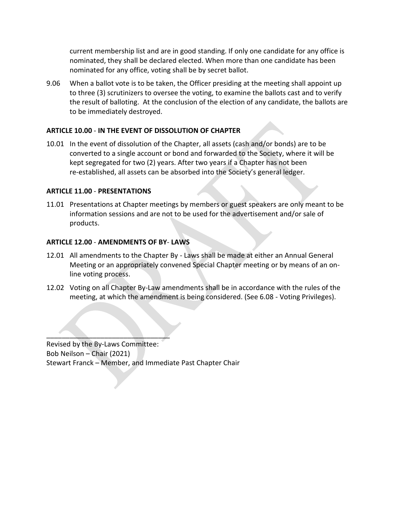current membership list and are in good standing. If only one candidate for any office is nominated, they shall be declared elected. When more than one candidate has been nominated for any office, voting shall be by secret ballot.

9.06 When a ballot vote is to be taken, the Officer presiding at the meeting shall appoint up to three (3) scrutinizers to oversee the voting, to examine the ballots cast and to verify the result of balloting. At the conclusion of the election of any candidate, the ballots are to be immediately destroyed.

### **ARTICLE 10.00** - **IN THE EVENT OF DISSOLUTION OF CHAPTER**

10.01 In the event of dissolution of the Chapter, all assets (cash and/or bonds) are to be converted to a single account or bond and forwarded to the Society, where it will be kept segregated for two (2) years. After two years if a Chapter has not been re-established, all assets can be absorbed into the Society's general ledger.

### **ARTICLE 11.00** - **PRESENTATIONS**

11.01 Presentations at Chapter meetings by members or guest speakers are only meant to be information sessions and are not to be used for the advertisement and/or sale of products.

#### **ARTICLE 12.00** - **AMENDMENTS OF BY**- **LAWS**

 $\overline{\phantom{a}}$ 

- 12.01 All amendments to the Chapter By Laws shall be made at either an Annual General Meeting or an appropriately convened Special Chapter meeting or by means of an online voting process.
- 12.02 Voting on all Chapter By-Law amendments shall be in accordance with the rules of the meeting, at which the amendment is being considered. (See 6.08 - Voting Privileges).

Revised by the By-Laws Committee: Bob Neilson – Chair (2021) Stewart Franck – Member, and Immediate Past Chapter Chair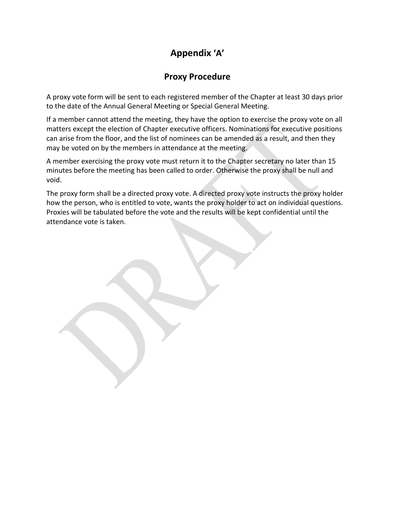### **Appendix 'A'**

### **Proxy Procedure**

A proxy vote form will be sent to each registered member of the Chapter at least 30 days prior to the date of the Annual General Meeting or Special General Meeting.

If a member cannot attend the meeting, they have the option to exercise the proxy vote on all matters except the election of Chapter executive officers. Nominations for executive positions can arise from the floor, and the list of nominees can be amended as a result, and then they may be voted on by the members in attendance at the meeting.

A member exercising the proxy vote must return it to the Chapter secretary no later than 15 minutes before the meeting has been called to order. Otherwise the proxy shall be null and void.

The proxy form shall be a directed proxy vote. A directed proxy vote instructs the proxy holder how the person, who is entitled to vote, wants the proxy holder to act on individual questions. Proxies will be tabulated before the vote and the results will be kept confidential until the attendance vote is taken.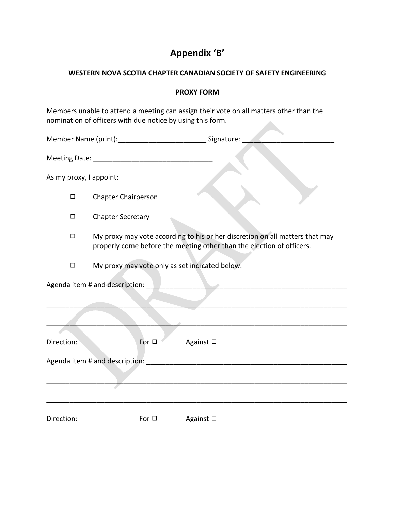# **Appendix 'B'**

### **WESTERN NOVA SCOTIA CHAPTER CANADIAN SOCIETY OF SAFETY ENGINEERING**

### **PROXY FORM**

Members unable to attend a meeting can assign their vote on all matters other than the nomination of officers with due notice by using this form.

| As my proxy, I appoint: |                                                                                                                                                       |           |
|-------------------------|-------------------------------------------------------------------------------------------------------------------------------------------------------|-----------|
| $\Box$                  | <b>Chapter Chairperson</b>                                                                                                                            |           |
| □                       | <b>Chapter Secretary</b>                                                                                                                              |           |
| $\Box$                  | My proxy may vote according to his or her discretion on all matters that may<br>properly come before the meeting other than the election of officers. |           |
| $\Box$                  | My proxy may vote only as set indicated below.                                                                                                        |           |
|                         |                                                                                                                                                       |           |
|                         |                                                                                                                                                       |           |
|                         |                                                                                                                                                       |           |
| Direction:              | For $\Box$                                                                                                                                            | Against □ |
|                         |                                                                                                                                                       |           |
|                         |                                                                                                                                                       |           |
|                         |                                                                                                                                                       |           |
| Direction:              | For $\Box$<br>Against □                                                                                                                               |           |